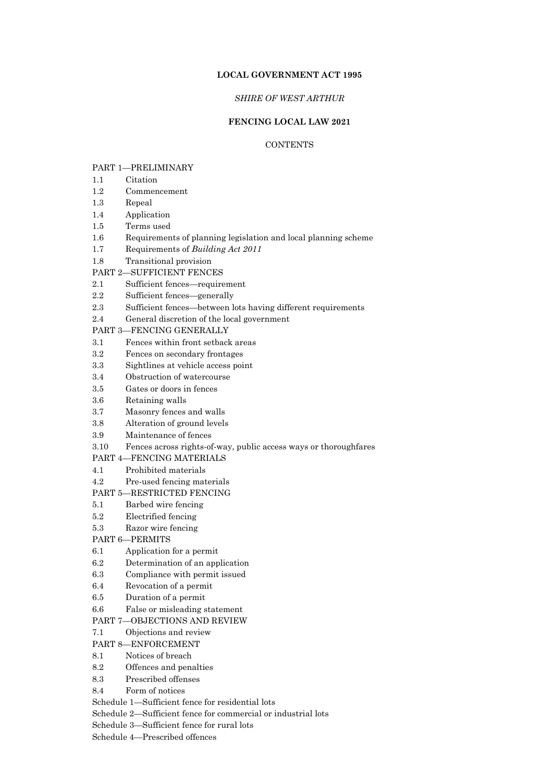### **LOCAL GOVERNMENT ACT 1995**

# *SHIRE OF WEST ARTHUR*

# **FENCING LOCAL LAW 2021**

# **CONTENTS**

# PART 1—PRELIMINARY 1.1 Citation 1.2 Commencement 1.3 Repeal 1.4 Application 1.5 Terms used 1.6 Requirements of planning legislation and local planning scheme 1.7 Requirements of *Building Act 2011* 1.8 Transitional provision PART 2—SUFFICIENT FENCES 2.1 Sufficient fences—requirement 2.2 Sufficient fences—generally 2.3 Sufficient fences—between lots having different requirements 2.4 General discretion of the local government PART 3—FENCING GENERALLY 3.1 Fences within front setback areas 3.2 Fences on secondary frontages 3.3 Sightlines at vehicle access point 3.4 Obstruction of watercourse 3.5 Gates or doors in fences 3.6 Retaining walls 3.7 Masonry fences and walls 3.8 Alteration of ground levels 3.9 Maintenance of fences 3.10 Fences across rights-of-way, public access ways or thoroughfares PART 4—FENCING MATERIALS 4.1 Prohibited materials 4.2 Pre-used fencing materials PART 5—RESTRICTED FENCING 5.1 Barbed wire fencing 5.2 Electrified fencing 5.3 Razor wire fencing PART 6—PERMITS 6.1 Application for a permit 6.2 Determination of an application 6.3 Compliance with permit issued 6.4 Revocation of a permit 6.5 Duration of a permit 6.6 False or misleading statement PART 7—OBJECTIONS AND REVIEW 7.1 Objections and review PART 8—ENFORCEMENT 8.1 Notices of breach 8.2 Offences and penalties 8.3 Prescribed offenses 8.4 Form of notices Schedule 1—Sufficient fence for residential lots Schedule 2—Sufficient fence for commercial or industrial lots

Schedule 3—Sufficient fence for rural lots

Schedule 4—Prescribed offences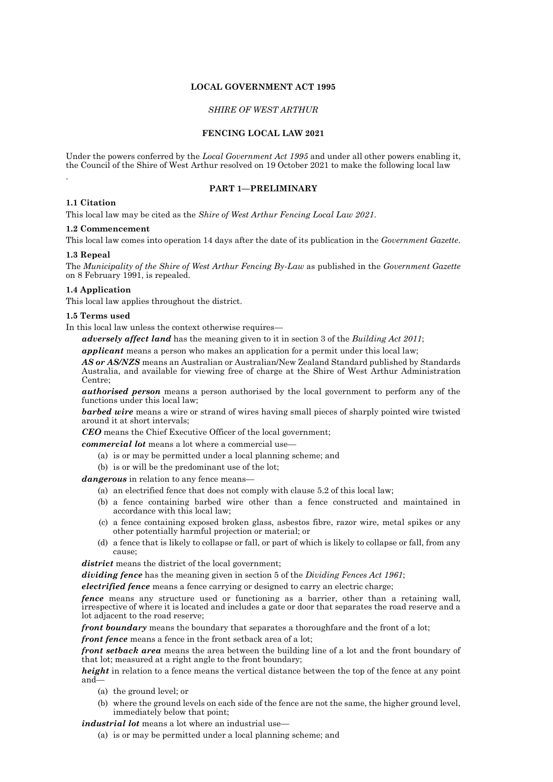# **LOCAL GOVERNMENT ACT 1995**

# *SHIRE OF WEST ARTHUR*

### **FENCING LOCAL LAW 2021**

Under the powers conferred by the *Local Government Act 1995* and under all other powers enabling it, the Council of the Shire of West Arthur resolved on 19 October 2021 to make the following local law

### **PART 1—PRELIMINARY**

## **1.1 Citation**

.

This local law may be cited as the *Shire of West Arthur Fencing Local Law 2021*.

# **1.2 Commencement**

This local law comes into operation 14 days after the date of its publication in the *Government Gazette*.

#### **1.3 Repeal**

The *Municipality of the Shire of West Arthur Fencing By-Law* as published in the *Government Gazette* on 8 February 1991, is repealed.

# **1.4 Application**

This local law applies throughout the district.

#### **1.5 Terms used**

In this local law unless the context otherwise requires—

*adversely affect land* has the meaning given to it in section 3 of the *Building Act 2011*;

*applicant* means a person who makes an application for a permit under this local law;

*AS or AS/NZS* means an Australian or Australian/New Zealand Standard published by Standards Australia, and available for viewing free of charge at the Shire of West Arthur Administration Centre;

*authorised person* means a person authorised by the local government to perform any of the functions under this local law;

*barbed wire* means a wire or strand of wires having small pieces of sharply pointed wire twisted around it at short intervals;

**O** means the Chief Executive Officer of the local government;

*commercial lot* means a lot where a commercial use—

- (a) is or may be permitted under a local planning scheme; and
- (b) is or will be the predominant use of the lot;

dangerous in relation to any fence means-

- (a) an electrified fence that does not comply with clause 5.2 of this local law;
- (b) a fence containing barbed wire other than a fence constructed and maintained in accordance with this local law;
- (c) a fence containing exposed broken glass, asbestos fibre, razor wire, metal spikes or any other potentially harmful projection or material; or
- (d) a fence that is likely to collapse or fall, or part of which is likely to collapse or fall, from any cause;

*district* means the district of the local government;

*dividing fence* has the meaning given in section 5 of the *Dividing Fences Act 1961*;

*electrified fence* means a fence carrying or designed to carry an electric charge;

*fence* means any structure used or functioning as a barrier, other than a retaining wall, irrespective of where it is located and includes a gate or door that separates the road reserve and a lot adjacent to the road reserve;

*front boundary* means the boundary that separates a thoroughfare and the front of a lot;

*front fence* means a fence in the front setback area of a lot;

*front setback area* means the area between the building line of a lot and the front boundary of that lot; measured at a right angle to the front boundary;

*height* in relation to a fence means the vertical distance between the top of the fence at any point and—

- (a) the ground level; or
- (b) where the ground levels on each side of the fence are not the same, the higher ground level, immediately below that point;

*industrial lot* means a lot where an industrial use—

(a) is or may be permitted under a local planning scheme; and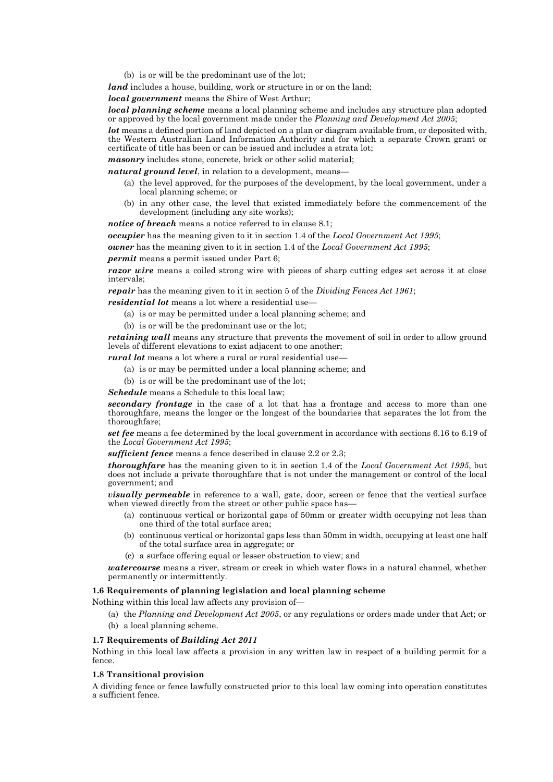(b) is or will be the predominant use of the lot;

*land* includes a house, building, work or structure in or on the land;

*local government* means the Shire of West Arthur;

*local planning scheme* means a local planning scheme and includes any structure plan adopted or approved by the local government made under the *Planning and Development Act 2005*;

*lot* means a defined portion of land depicted on a plan or diagram available from, or deposited with, the Western Australian Land Information Authority and for which a separate Crown grant or certificate of title has been or can be issued and includes a strata lot;

*masonry* includes stone, concrete, brick or other solid material;

*natural ground level*, in relation to a development, means-

- (a) the level approved, for the purposes of the development, by the local government, under a local planning scheme; or
- (b) in any other case, the level that existed immediately before the commencement of the development (including any site works);

*notice of breach* means a notice referred to in clause 8.1;

*occupier* has the meaning given to it in section 1.4 of the *Local Government Act 1995*;

*owner* has the meaning given to it in section 1.4 of the *Local Government Act 1995*;

*permit* means a permit issued under Part 6;

*razor wire* means a coiled strong wire with pieces of sharp cutting edges set across it at close intervals;

*repair* has the meaning given to it in section 5 of the *Dividing Fences Act 1961*;

*residential lot* means a lot where a residential use-

- (a) is or may be permitted under a local planning scheme; and
- (b) is or will be the predominant use or the lot;

*retaining wall* means any structure that prevents the movement of soil in order to allow ground levels of different elevations to exist adjacent to one another;

*rural lot* means a lot where a rural or rural residential use—

- (a) is or may be permitted under a local planning scheme; and
- (b) is or will be the predominant use of the lot;

*Schedule* means a Schedule to this local law;

*secondary frontage* in the case of a lot that has a frontage and access to more than one thoroughfare, means the longer or the longest of the boundaries that separates the lot from the thoroughfare;

*set fee* means a fee determined by the local government in accordance with sections 6.16 to 6.19 of the *Local Government Act 1995*;

*sufficient fence* means a fence described in clause 2.2 or 2.3;

*thoroughfare* has the meaning given to it in section 1.4 of the *Local Government Act 1995*, but does not include a private thoroughfare that is not under the management or control of the local government; and

*visually permeable* in reference to a wall, gate, door, screen or fence that the vertical surface when viewed directly from the street or other public space has—

- (a) continuous vertical or horizontal gaps of 50mm or greater width occupying not less than one third of the total surface area;
- (b) continuous vertical or horizontal gaps less than 50mm in width, occupying at least one half of the total surface area in aggregate; or
- (c) a surface offering equal or lesser obstruction to view; and

*watercourse* means a river, stream or creek in which water flows in a natural channel, whether permanently or intermittently.

### **1.6 Requirements of planning legislation and local planning scheme**

Nothing within this local law affects any provision of—

(a) the *Planning and Development Act 2005*, or any regulations or orders made under that Act; or (b) a local planning scheme.

#### **1.7 Requirements of** *Building Act 2011*

Nothing in this local law affects a provision in any written law in respect of a building permit for a fence.

### **1.8 Transitional provision**

A dividing fence or fence lawfully constructed prior to this local law coming into operation constitutes a sufficient fence.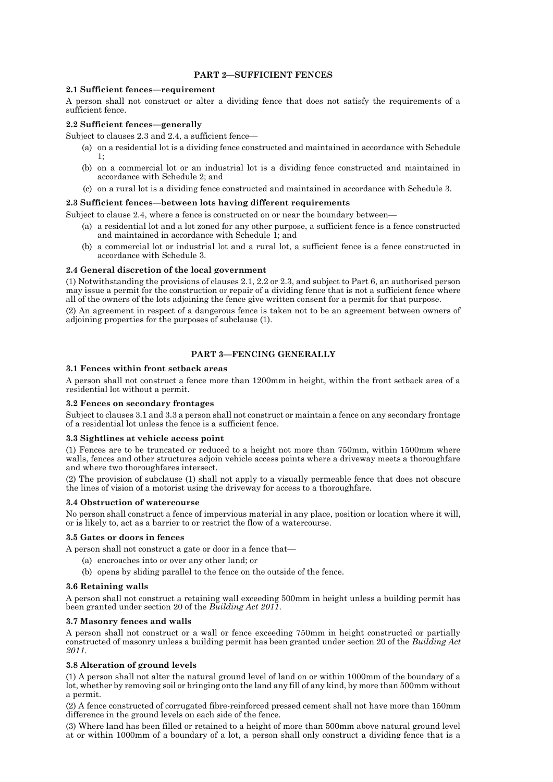# **PART 2—SUFFICIENT FENCES**

### **2.1 Sufficient fences—requirement**

A person shall not construct or alter a dividing fence that does not satisfy the requirements of a sufficient fence.

### **2.2 Sufficient fences—generally**

Subject to clauses 2.3 and 2.4, a sufficient fence—

- (a) on a residential lot is a dividing fence constructed and maintained in accordance with Schedule  $1$
- (b) on a commercial lot or an industrial lot is a dividing fence constructed and maintained in accordance with Schedule 2; and
- (c) on a rural lot is a dividing fence constructed and maintained in accordance with Schedule 3.

### **2.3 Sufficient fences—between lots having different requirements**

Subject to clause 2.4, where a fence is constructed on or near the boundary between—

- (a) a residential lot and a lot zoned for any other purpose, a sufficient fence is a fence constructed and maintained in accordance with Schedule 1; and
- (b) a commercial lot or industrial lot and a rural lot, a sufficient fence is a fence constructed in accordance with Schedule 3.

### **2.4 General discretion of the local government**

(1) Notwithstanding the provisions of clauses 2.1, 2.2 or 2.3, and subject to Part 6, an authorised person may issue a permit for the construction or repair of a dividing fence that is not a sufficient fence where all of the owners of the lots adjoining the fence give written consent for a permit for that purpose.

(2) An agreement in respect of a dangerous fence is taken not to be an agreement between owners of adjoining properties for the purposes of subclause (1).

## **PART 3—FENCING GENERALLY**

### **3.1 Fences within front setback areas**

A person shall not construct a fence more than 1200mm in height, within the front setback area of a residential lot without a permit.

#### **3.2 Fences on secondary frontages**

Subject to clauses 3.1 and 3.3 a person shall not construct or maintain a fence on any secondary frontage of a residential lot unless the fence is a sufficient fence.

#### **3.3 Sightlines at vehicle access point**

(1) Fences are to be truncated or reduced to a height not more than 750mm, within 1500mm where walls, fences and other structures adjoin vehicle access points where a driveway meets a thoroughfare and where two thoroughfares intersect.

(2) The provision of subclause (1) shall not apply to a visually permeable fence that does not obscure the lines of vision of a motorist using the driveway for access to a thoroughfare.

#### **3.4 Obstruction of watercourse**

No person shall construct a fence of impervious material in any place, position or location where it will, or is likely to, act as a barrier to or restrict the flow of a watercourse.

#### **3.5 Gates or doors in fences**

A person shall not construct a gate or door in a fence that—

- (a) encroaches into or over any other land; or
- (b) opens by sliding parallel to the fence on the outside of the fence.

#### **3.6 Retaining walls**

A person shall not construct a retaining wall exceeding 500mm in height unless a building permit has been granted under section 20 of the *Building Act 2011*.

## **3.7 Masonry fences and walls**

A person shall not construct or a wall or fence exceeding 750mm in height constructed or partially constructed of masonry unless a building permit has been granted under section 20 of the *Building Act 2011*.

# **3.8 Alteration of ground levels**

(1) A person shall not alter the natural ground level of land on or within 1000mm of the boundary of a lot, whether by removing soil or bringing onto the land any fill of any kind, by more than 500mm without a permit.

(2) A fence constructed of corrugated fibre-reinforced pressed cement shall not have more than 150mm difference in the ground levels on each side of the fence.

(3) Where land has been filled or retained to a height of more than 500mm above natural ground level at or within 1000mm of a boundary of a lot, a person shall only construct a dividing fence that is a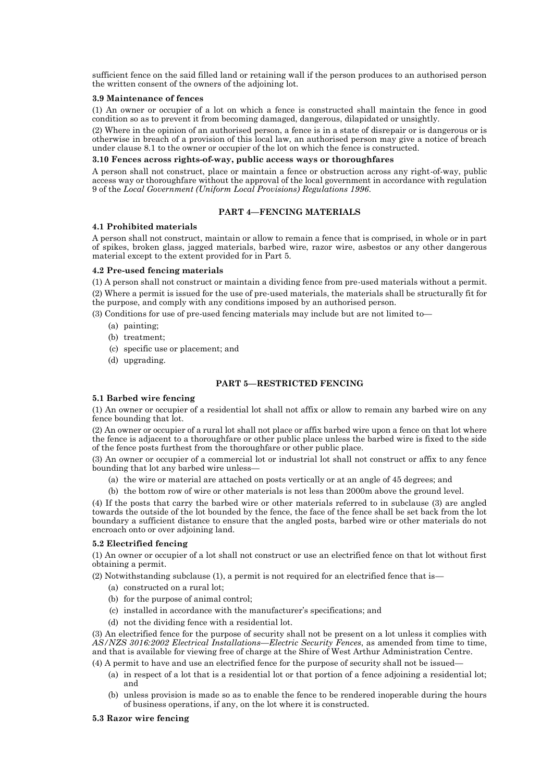sufficient fence on the said filled land or retaining wall if the person produces to an authorised person the written consent of the owners of the adjoining lot.

### **3.9 Maintenance of fences**

(1) An owner or occupier of a lot on which a fence is constructed shall maintain the fence in good condition so as to prevent it from becoming damaged, dangerous, dilapidated or unsightly.

(2) Where in the opinion of an authorised person, a fence is in a state of disrepair or is dangerous or is otherwise in breach of a provision of this local law, an authorised person may give a notice of breach under clause 8.1 to the owner or occupier of the lot on which the fence is constructed.

### **3.10 Fences across rights-of-way, public access ways or thoroughfares**

A person shall not construct, place or maintain a fence or obstruction across any right-of-way, public access way or thoroughfare without the approval of the local government in accordance with regulation 9 of the *Local Government (Uniform Local Provisions) Regulations 1996*.

# **PART 4—FENCING MATERIALS**

# **4.1 Prohibited materials**

A person shall not construct, maintain or allow to remain a fence that is comprised, in whole or in part of spikes, broken glass, jagged materials, barbed wire, razor wire, asbestos or any other dangerous material except to the extent provided for in Part 5.

### **4.2 Pre-used fencing materials**

(1) A person shall not construct or maintain a dividing fence from pre-used materials without a permit. (2) Where a permit is issued for the use of pre-used materials, the materials shall be structurally fit for the purpose, and comply with any conditions imposed by an authorised person.

(3) Conditions for use of pre-used fencing materials may include but are not limited to—

- (a) painting;
- (b) treatment;
- (c) specific use or placement; and
- (d) upgrading.

# **PART 5—RESTRICTED FENCING**

## **5.1 Barbed wire fencing**

(1) An owner or occupier of a residential lot shall not affix or allow to remain any barbed wire on any fence bounding that lot.

(2) An owner or occupier of a rural lot shall not place or affix barbed wire upon a fence on that lot where the fence is adjacent to a thoroughfare or other public place unless the barbed wire is fixed to the side of the fence posts furthest from the thoroughfare or other public place.

(3) An owner or occupier of a commercial lot or industrial lot shall not construct or affix to any fence bounding that lot any barbed wire unless—

(a) the wire or material are attached on posts vertically or at an angle of 45 degrees; and

(b) the bottom row of wire or other materials is not less than 2000m above the ground level.

(4) If the posts that carry the barbed wire or other materials referred to in subclause (3) are angled towards the outside of the lot bounded by the fence, the face of the fence shall be set back from the lot boundary a sufficient distance to ensure that the angled posts, barbed wire or other materials do not encroach onto or over adjoining land.

## **5.2 Electrified fencing**

(1) An owner or occupier of a lot shall not construct or use an electrified fence on that lot without first obtaining a permit.

(2) Notwithstanding subclause (1), a permit is not required for an electrified fence that is—

- (a) constructed on a rural lot;
- (b) for the purpose of animal control;
- (c) installed in accordance with the manufacturer's specifications; and
- (d) not the dividing fence with a residential lot.

(3) An electrified fence for the purpose of security shall not be present on a lot unless it complies with *AS/NZS 3016:2002 Electrical Installations—Electric Security Fences*, as amended from time to time, and that is available for viewing free of charge at the Shire of West Arthur Administration Centre.

(4) A permit to have and use an electrified fence for the purpose of security shall not be issued—

- (a) in respect of a lot that is a residential lot or that portion of a fence adjoining a residential lot; and
- (b) unless provision is made so as to enable the fence to be rendered inoperable during the hours of business operations, if any, on the lot where it is constructed.

#### **5.3 Razor wire fencing**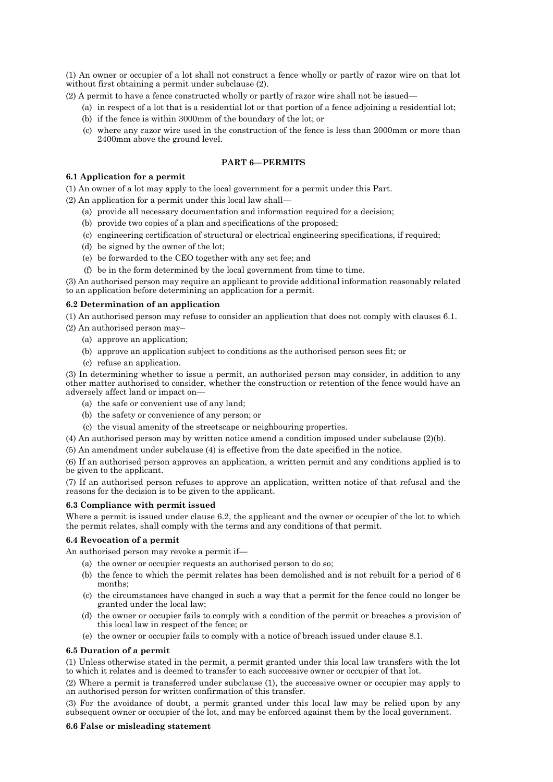(1) An owner or occupier of a lot shall not construct a fence wholly or partly of razor wire on that lot without first obtaining a permit under subclause (2).

(2) A permit to have a fence constructed wholly or partly of razor wire shall not be issued—

- (a) in respect of a lot that is a residential lot or that portion of a fence adjoining a residential lot;
- (b) if the fence is within 3000mm of the boundary of the lot; or
- (c) where any razor wire used in the construction of the fence is less than 2000mm or more than 2400mm above the ground level.

# **PART 6—PERMITS**

# **6.1 Application for a permit**

(1) An owner of a lot may apply to the local government for a permit under this Part.

(2) An application for a permit under this local law shall—

- (a) provide all necessary documentation and information required for a decision;
- (b) provide two copies of a plan and specifications of the proposed;
- (c) engineering certification of structural or electrical engineering specifications, if required;
- (d) be signed by the owner of the lot;
- (e) be forwarded to the CEO together with any set fee; and
- (f) be in the form determined by the local government from time to time.

(3) An authorised person may require an applicant to provide additional information reasonably related to an application before determining an application for a permit.

### **6.2 Determination of an application**

(1) An authorised person may refuse to consider an application that does not comply with clauses 6.1.

- (2) An authorised person may–
	- (a) approve an application;
	- (b) approve an application subject to conditions as the authorised person sees fit; or
	- (c) refuse an application.

(3) In determining whether to issue a permit, an authorised person may consider, in addition to any other matter authorised to consider, whether the construction or retention of the fence would have an adversely affect land or impact on—

- (a) the safe or convenient use of any land;
- (b) the safety or convenience of any person; or
- (c) the visual amenity of the streetscape or neighbouring properties.

(4) An authorised person may by written notice amend a condition imposed under subclause (2)(b).

(5) An amendment under subclause (4) is effective from the date specified in the notice.

(6) If an authorised person approves an application, a written permit and any conditions applied is to be given to the applicant.

(7) If an authorised person refuses to approve an application, written notice of that refusal and the reasons for the decision is to be given to the applicant.

### **6.3 Compliance with permit issued**

Where a permit is issued under clause 6.2, the applicant and the owner or occupier of the lot to which the permit relates, shall comply with the terms and any conditions of that permit.

#### **6.4 Revocation of a permit**

An authorised person may revoke a permit if—

- (a) the owner or occupier requests an authorised person to do so;
- (b) the fence to which the permit relates has been demolished and is not rebuilt for a period of 6 months;
- (c) the circumstances have changed in such a way that a permit for the fence could no longer be granted under the local law;
- (d) the owner or occupier fails to comply with a condition of the permit or breaches a provision of this local law in respect of the fence; or
- (e) the owner or occupier fails to comply with a notice of breach issued under clause 8.1.

#### **6.5 Duration of a permit**

(1) Unless otherwise stated in the permit, a permit granted under this local law transfers with the lot to which it relates and is deemed to transfer to each successive owner or occupier of that lot.

(2) Where a permit is transferred under subclause (1), the successive owner or occupier may apply to an authorised person for written confirmation of this transfer.

(3) For the avoidance of doubt, a permit granted under this local law may be relied upon by any subsequent owner or occupier of the lot, and may be enforced against them by the local government.

#### **6.6 False or misleading statement**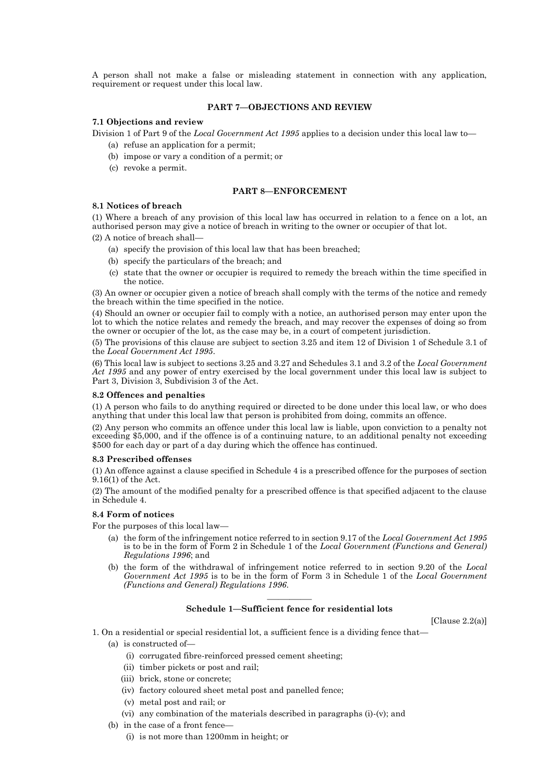A person shall not make a false or misleading statement in connection with any application, requirement or request under this local law.

## **PART 7—OBJECTIONS AND REVIEW**

### **7.1 Objections and review**

Division 1 of Part 9 of the *Local Government Act 1995* applies to a decision under this local law to—

- (a) refuse an application for a permit;
- (b) impose or vary a condition of a permit; or
- (c) revoke a permit.

# **PART 8—ENFORCEMENT**

#### **8.1 Notices of breach**

(1) Where a breach of any provision of this local law has occurred in relation to a fence on a lot, an authorised person may give a notice of breach in writing to the owner or occupier of that lot.

(2) A notice of breach shall—

- (a) specify the provision of this local law that has been breached;
- (b) specify the particulars of the breach; and
- (c) state that the owner or occupier is required to remedy the breach within the time specified in the notice.

(3) An owner or occupier given a notice of breach shall comply with the terms of the notice and remedy the breach within the time specified in the notice.

(4) Should an owner or occupier fail to comply with a notice, an authorised person may enter upon the lot to which the notice relates and remedy the breach, and may recover the expenses of doing so from the owner or occupier of the lot, as the case may be, in a court of competent jurisdiction.

(5) The provisions of this clause are subject to section 3.25 and item 12 of Division 1 of Schedule 3.1 of the *Local Government Act 1995*.

(6) This local law is subject to sections 3.25 and 3.27 and Schedules 3.1 and 3.2 of the *Local Government Act 1995* and any power of entry exercised by the local government under this local law is subject to Part 3, Division 3, Subdivision 3 of the Act.

#### **8.2 Offences and penalties**

(1) A person who fails to do anything required or directed to be done under this local law, or who does anything that under this local law that person is prohibited from doing, commits an offence.

(2) Any person who commits an offence under this local law is liable, upon conviction to a penalty not exceeding \$5,000, and if the offence is of a continuing nature, to an additional penalty not exceeding \$500 for each day or part of a day during which the offence has continued.

#### **8.3 Prescribed offenses**

(1) An offence against a clause specified in Schedule 4 is a prescribed offence for the purposes of section 9.16(1) of the Act.

(2) The amount of the modified penalty for a prescribed offence is that specified adjacent to the clause in Schedule 4.

#### **8.4 Form of notices**

For the purposes of this local law—

- (a) the form of the infringement notice referred to in section 9.17 of the *Local Government Act 1995* is to be in the form of Form 2 in Schedule 1 of the *Local Government (Functions and General) Regulations 1996*; and
- (b) the form of the withdrawal of infringement notice referred to in section 9.20 of the *Local Government Act 1995* is to be in the form of Form 3 in Schedule 1 of the *Local Government (Functions and General) Regulations 1996*.

# ———— **Schedule 1—Sufficient fence for residential lots**

[Clause  $2.2(a)$ ]

- 1. On a residential or special residential lot, a sufficient fence is a dividing fence that—
	- (a) is constructed of—
		- (i) corrugated fibre-reinforced pressed cement sheeting;
		- (ii) timber pickets or post and rail;
		- (iii) brick, stone or concrete;
		- (iv) factory coloured sheet metal post and panelled fence;
		- (v) metal post and rail; or
		- (vi) any combination of the materials described in paragraphs (i)-(v); and
	- (b) in the case of a front fence—
		- (i) is not more than 1200mm in height; or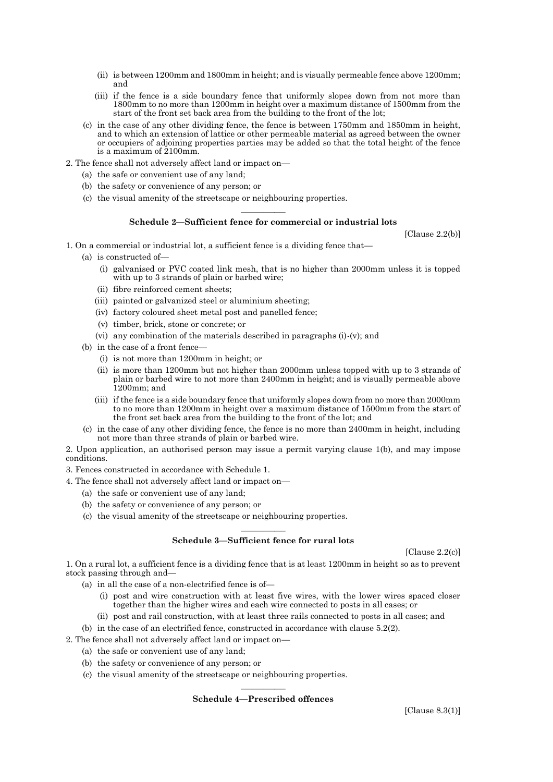- (ii) is between 1200mm and 1800mm in height; and is visually permeable fence above 1200mm; and
- (iii) if the fence is a side boundary fence that uniformly slopes down from not more than 1800mm to no more than 1200mm in height over a maximum distance of 1500mm from the start of the front set back area from the building to the front of the lot;
- (c) in the case of any other dividing fence, the fence is between 1750mm and 1850mm in height, and to which an extension of lattice or other permeable material as agreed between the owner or occupiers of adjoining properties parties may be added so that the total height of the fence is a maximum of 2100mm.
- 2. The fence shall not adversely affect land or impact on—
	- (a) the safe or convenient use of any land;
	- (b) the safety or convenience of any person; or
	- (c) the visual amenity of the streetscape or neighbouring properties.

### ———— **Schedule 2—Sufficient fence for commercial or industrial lots**

[Clause 2.2(b)]

- 1. On a commercial or industrial lot, a sufficient fence is a dividing fence that—
	- (a) is constructed of—
		- (i) galvanised or PVC coated link mesh, that is no higher than 2000mm unless it is topped with up to 3 strands of plain or barbed wire;
		- (ii) fibre reinforced cement sheets;
		- (iii) painted or galvanized steel or aluminium sheeting;
		- (iv) factory coloured sheet metal post and panelled fence;
		- (v) timber, brick, stone or concrete; or
		- (vi) any combination of the materials described in paragraphs (i)-(v); and
	- (b) in the case of a front fence—
		- (i) is not more than 1200mm in height; or
		- (ii) is more than 1200mm but not higher than 2000mm unless topped with up to 3 strands of plain or barbed wire to not more than 2400mm in height; and is visually permeable above 1200mm; and
		- (iii) if the fence is a side boundary fence that uniformly slopes down from no more than 2000mm to no more than 1200mm in height over a maximum distance of 1500mm from the start of the front set back area from the building to the front of the lot; and
	- (c) in the case of any other dividing fence, the fence is no more than 2400mm in height, including not more than three strands of plain or barbed wire.

2. Upon application, an authorised person may issue a permit varying clause 1(b), and may impose conditions.

- 3. Fences constructed in accordance with Schedule 1.
- 4. The fence shall not adversely affect land or impact on—
	- (a) the safe or convenient use of any land;
	- (b) the safety or convenience of any person; or
	- (c) the visual amenity of the streetscape or neighbouring properties.

# ———— **Schedule 3—Sufficient fence for rural lots**

[Clause 2.2(c)]

1. On a rural lot, a sufficient fence is a dividing fence that is at least 1200mm in height so as to prevent stock passing through and—

- (a) in all the case of a non-electrified fence is of—
	- (i) post and wire construction with at least five wires, with the lower wires spaced closer together than the higher wires and each wire connected to posts in all cases; or
	- (ii) post and rail construction, with at least three rails connected to posts in all cases; and
- (b) in the case of an electrified fence, constructed in accordance with clause 5.2(2).

2. The fence shall not adversely affect land or impact on—

- (a) the safe or convenient use of any land;
- (b) the safety or convenience of any person; or
- (c) the visual amenity of the streetscape or neighbouring properties.

# ———— **Schedule 4—Prescribed offences**